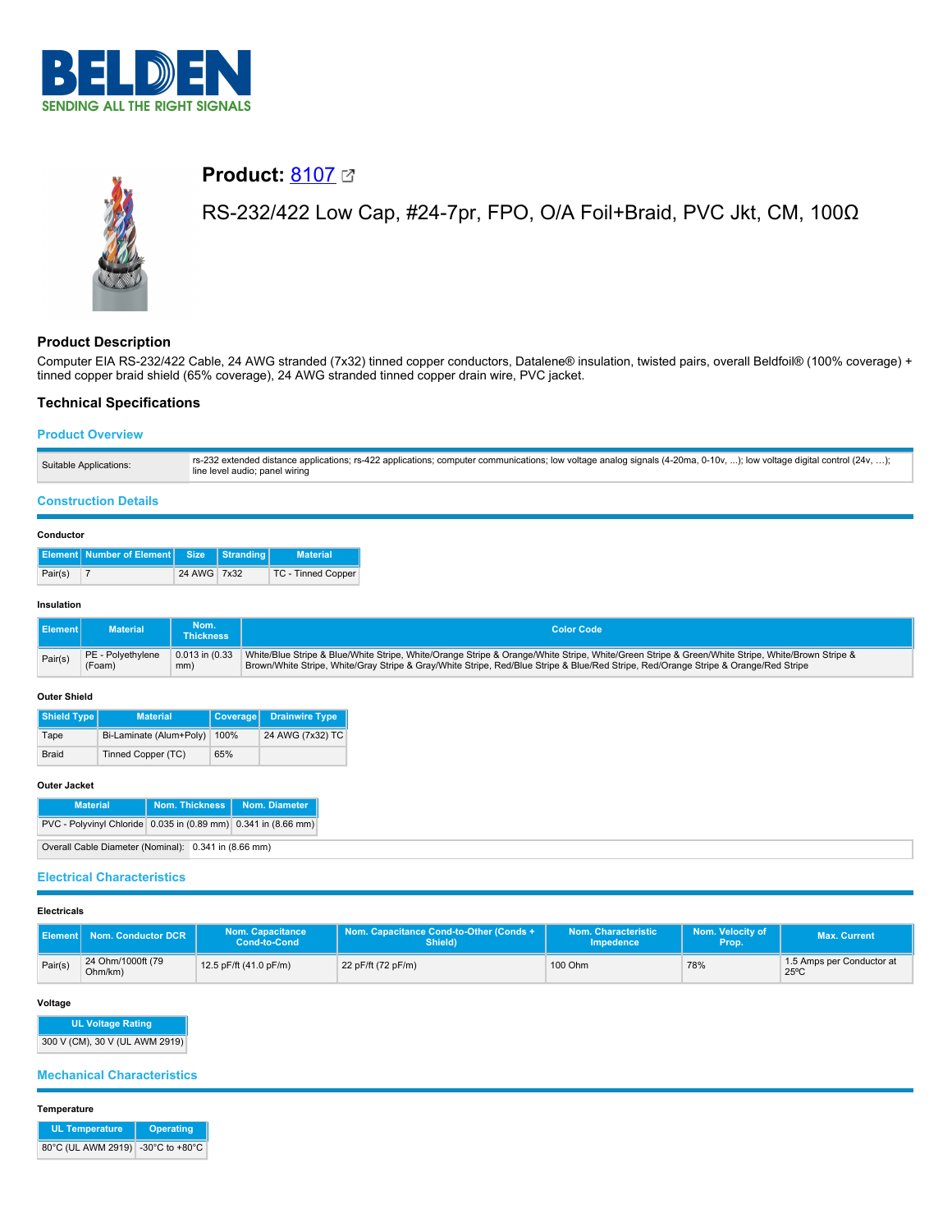



# **Product:** [8107](https://catalog.belden.com/index.cfm?event=pd&p=PF_8107&tab=downloads)

# RS-232/422 Low Cap, #24-7pr, FPO, O/A Foil+Braid, PVC Jkt, CM, 100Ω

# **Product Description**

Computer EIA RS-232/422 Cable, 24 AWG stranded (7x32) tinned copper conductors, Datalene® insulation, twisted pairs, overall Beldfoil® (100% coverage) + tinned copper braid shield (65% coverage), 24 AWG stranded tinned copper drain wire, PVC jacket.

# **Technical Specifications**

# **Product Overview**

| rs-232 extended distance applications; rs-422 applications; computer communications; low voltage analog signals (4-20ma, 0-10v, ); low voltage digital control (24v, );<br>Suitable Applications:<br>line level audio; panel wiring |  |
|-------------------------------------------------------------------------------------------------------------------------------------------------------------------------------------------------------------------------------------|--|
|-------------------------------------------------------------------------------------------------------------------------------------------------------------------------------------------------------------------------------------|--|

# **Construction Details**

#### **Conductor**

|         | <b>Element   Number of Element   Size   Stranding  </b> |             | <b>Material</b>    |
|---------|---------------------------------------------------------|-------------|--------------------|
| Pair(s) |                                                         | 24 AWG 7x32 | TC - Tinned Copper |

#### **Insulation**

| Ⅱ Element I | Material <b>\</b> | Nom.<br><b>Thickness</b> | <b>Color Code</b>                                                                                                                               |
|-------------|-------------------|--------------------------|-------------------------------------------------------------------------------------------------------------------------------------------------|
| Pair(s)     | PE - Polvethvlene | $0.013$ in $(0.33)$      | White/Blue Stripe & Blue/White Stripe, White/Orange Stripe & Orange/White Stripe, White/Green Stripe & Green/White Stripe, White/Brown Stripe & |
|             | (Foam)            | mm)                      | Brown/White Stripe, White/Gray Stripe & Gray/White Stripe, Red/Blue Stripe & Blue/Red Stripe, Red/Orange Stripe & Orange/Red Stripe             |

#### **Outer Shield**

| Shield Type                     | Material           | Coverage | <b>Drainwire Type</b> |
|---------------------------------|--------------------|----------|-----------------------|
| Bi-Laminate (Alum+Poly)<br>Tape |                    | 100%     | 24 AWG (7x32) TC      |
| <b>Braid</b>                    | Tinned Copper (TC) | 65%      |                       |

### **Outer Jacket**

| <b>Material</b>                                                | Nom. Thickness | Nom. Diameter |
|----------------------------------------------------------------|----------------|---------------|
| PVC - Polyvinyl Chloride 0.035 in (0.89 mm) 0.341 in (8.66 mm) |                |               |

Overall Cable Diameter (Nominal): 0.341 in (8.66 mm)

# **Electrical Characteristics**

# **Electricals**

|         | Element Nom. Conductor DCR   | <b>Nom. Capacitance</b><br>Cond-to-Cond | Nom. Capacitance Cond-to-Other (Conds +<br>Shield) | Nom. Characteristic<br>Impedence | Nom. Velocity of<br>Prop. | <b>Max. Current</b>                         |
|---------|------------------------------|-----------------------------------------|----------------------------------------------------|----------------------------------|---------------------------|---------------------------------------------|
| Pair(s) | 24 Ohm/1000ft (79<br>Ohm/km) | 12.5 pF/ft (41.0 pF/m)                  | 22 pF/ft (72 pF/m)                                 | 100 Ohm                          | 78%                       | 1.5 Amps per Conductor at<br>$25^{\circ}$ C |

# **Voltage**

**UL Voltage Rating** 300 V (CM), 30 V (UL AWM 2919)

#### **Mechanical Characteristics**

**Temperature**